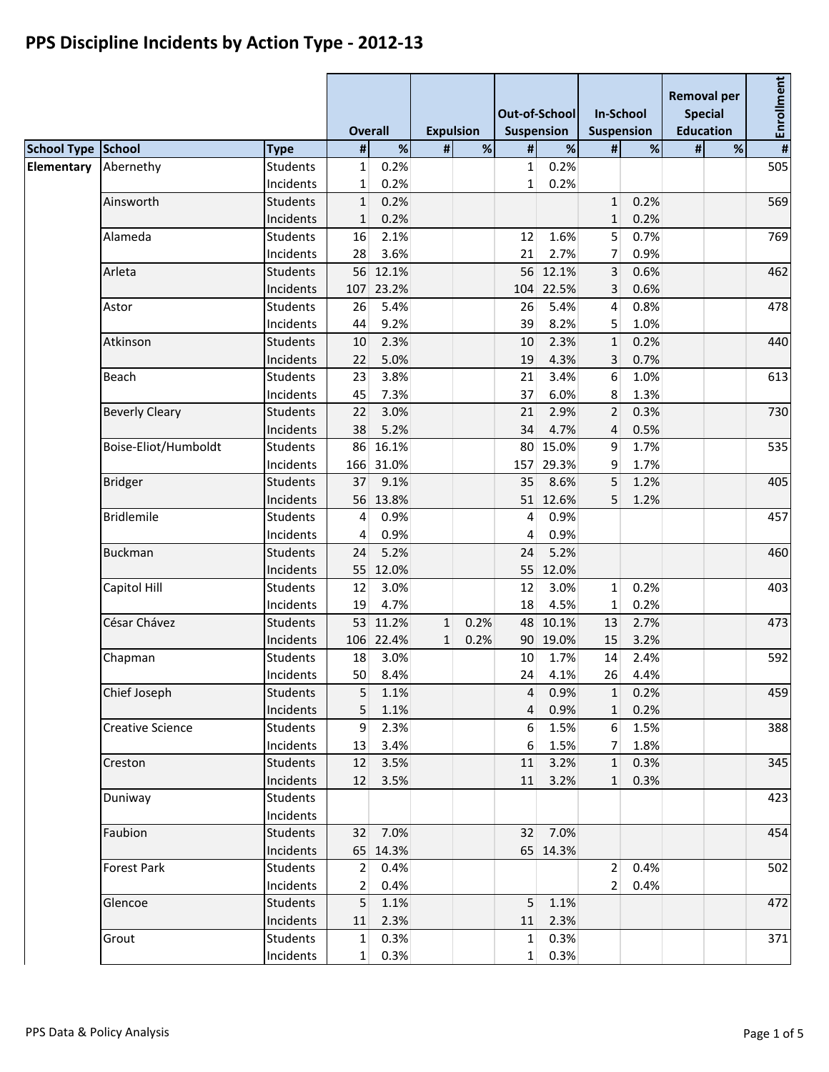|            | <b>School Type School</b> |                 | <b>Overall</b>  |           | <b>Expulsion</b> |      |              | Out-of-School<br><b>Suspension</b> | <b>In-School</b><br><b>Suspension</b> |      | <b>Removal per</b><br><b>Special</b><br><b>Education</b> |      | Enrollment              |  |
|------------|---------------------------|-----------------|-----------------|-----------|------------------|------|--------------|------------------------------------|---------------------------------------|------|----------------------------------------------------------|------|-------------------------|--|
|            |                           | <b>Type</b>     | $\sharp$        | $\%$      | $\sharp$         | $\%$ | $\sharp$     | $\%$                               | #                                     | $\%$ | #                                                        | $\%$ | $\overline{\mathbf{H}}$ |  |
| Elementary | Abernethy                 | <b>Students</b> | $\mathbf{1}$    | 0.2%      |                  |      | $\mathbf{1}$ | 0.2%                               |                                       |      |                                                          |      | 505                     |  |
|            |                           | Incidents       | $\mathbf{1}$    | 0.2%      |                  |      | $\mathbf{1}$ | 0.2%                               |                                       |      |                                                          |      |                         |  |
|            | Ainsworth                 | <b>Students</b> | $\mathbf{1}$    | 0.2%      |                  |      |              |                                    | $\mathbf{1}$                          | 0.2% |                                                          |      | 569                     |  |
|            |                           | Incidents       | $\mathbf{1}$    | 0.2%      |                  |      |              |                                    | $\mathbf{1}$                          | 0.2% |                                                          |      |                         |  |
|            | Alameda                   | <b>Students</b> | 16              | 2.1%      |                  |      | 12           | 1.6%                               | 5                                     | 0.7% |                                                          |      | 769                     |  |
|            |                           | Incidents       | 28              | 3.6%      |                  |      | 21           | 2.7%                               | $\overline{7}$                        | 0.9% |                                                          |      |                         |  |
|            | Arleta                    | <b>Students</b> |                 | 56 12.1%  |                  |      |              | 56 12.1%                           | 3                                     | 0.6% |                                                          |      | 462                     |  |
|            |                           | Incidents       | 107             | 23.2%     |                  |      | 104          | 22.5%                              | 3                                     | 0.6% |                                                          |      |                         |  |
|            | Astor                     | <b>Students</b> | 26              | 5.4%      |                  |      | 26           | 5.4%                               | $\overline{4}$                        | 0.8% |                                                          |      | 478                     |  |
|            |                           | Incidents       | 44              | 9.2%      |                  |      | 39           | 8.2%                               | 5                                     | 1.0% |                                                          |      |                         |  |
|            | Atkinson                  | <b>Students</b> | 10              | 2.3%      |                  |      | 10           | 2.3%                               | $\mathbf{1}$                          | 0.2% |                                                          |      | 440                     |  |
|            |                           | Incidents       | 22              | 5.0%      |                  |      | 19           | 4.3%                               | 3                                     | 0.7% |                                                          |      |                         |  |
|            | Beach                     | <b>Students</b> | 23              | 3.8%      |                  |      | 21           | 3.4%                               | 6                                     | 1.0% |                                                          |      | 613                     |  |
|            |                           | Incidents       | 45              | 7.3%      |                  |      | 37           | 6.0%                               | 8                                     | 1.3% |                                                          |      |                         |  |
|            | <b>Beverly Cleary</b>     | <b>Students</b> | 22              | 3.0%      |                  |      | 21           | 2.9%                               | $\overline{2}$                        | 0.3% |                                                          |      | 730                     |  |
|            |                           | Incidents       | 38              | 5.2%      |                  |      | 34           | 4.7%                               | $\overline{4}$                        | 0.5% |                                                          |      |                         |  |
|            | Boise-Eliot/Humboldt      | <b>Students</b> |                 | 86 16.1%  |                  |      | 80           | 15.0%                              | 9                                     | 1.7% |                                                          |      | 535                     |  |
|            |                           | Incidents       | 166             | 31.0%     |                  |      | 157          | 29.3%                              | 9                                     | 1.7% |                                                          |      |                         |  |
|            | <b>Bridger</b>            | <b>Students</b> | 37              | 9.1%      |                  |      | 35           | 8.6%                               | 5                                     | 1.2% |                                                          |      | 405                     |  |
|            |                           | Incidents       |                 | 56 13.8%  |                  |      |              | 51 12.6%                           | 5                                     | 1.2% |                                                          |      |                         |  |
|            | <b>Bridlemile</b>         | <b>Students</b> | $\vert 4 \vert$ | 0.9%      |                  |      | 4            | 0.9%                               |                                       |      |                                                          |      | 457                     |  |
|            |                           | Incidents       | $\vert 4 \vert$ | 0.9%      |                  |      | 4            | 0.9%                               |                                       |      |                                                          |      |                         |  |
|            | <b>Buckman</b>            | <b>Students</b> | 24              | 5.2%      |                  |      | 24           | 5.2%                               |                                       |      |                                                          |      | 460                     |  |
|            |                           | Incidents       |                 | 55 12.0%  |                  |      | 55           | 12.0%                              |                                       |      |                                                          |      |                         |  |
|            | Capitol Hill              | <b>Students</b> | 12              | 3.0%      |                  |      | 12           | 3.0%                               | 1                                     | 0.2% |                                                          |      | 403                     |  |
|            |                           | Incidents       | 19              | 4.7%      |                  |      | 18           | 4.5%                               | 1                                     | 0.2% |                                                          |      |                         |  |
|            | César Chávez              | <b>Students</b> |                 | 53 11.2%  | $\mathbf{1}$     | 0.2% | 48           | 10.1%                              | 13                                    | 2.7% |                                                          |      | 473                     |  |
|            |                           | Incidents       |                 | 106 22.4% | $\mathbf{1}$     | 0.2% | 90           | 19.0%                              | 15                                    | 3.2% |                                                          |      |                         |  |
|            | Chapman                   | <b>Students</b> | 18              | 3.0%      |                  |      | 10           | 1.7%                               | 14                                    | 2.4% |                                                          |      | 592                     |  |
|            |                           | Incidents       | 50              | 8.4%      |                  |      | 24           | 4.1%                               | 26                                    | 4.4% |                                                          |      |                         |  |
|            | Chief Joseph              | Students        | 5               | 1.1%      |                  |      | 4            | 0.9%                               | $\mathbf{1}$                          | 0.2% |                                                          |      | 459                     |  |
|            |                           | Incidents       | 5 <sup>1</sup>  | 1.1%      |                  |      | 4            | 0.9%                               | $\mathbf{1}$                          | 0.2% |                                                          |      |                         |  |
|            | <b>Creative Science</b>   | <b>Students</b> | 9 <sup>1</sup>  | 2.3%      |                  |      | 6            | 1.5%                               | $6 \overline{6}$                      | 1.5% |                                                          |      | 388                     |  |
|            |                           | Incidents       | 13              | 3.4%      |                  |      | 6            | 1.5%                               | 7 <sup>1</sup>                        | 1.8% |                                                          |      |                         |  |
|            | Creston                   | <b>Students</b> | 12              | 3.5%      |                  |      | 11           | 3.2%                               | 1                                     | 0.3% |                                                          |      | 345                     |  |
|            |                           | Incidents       | 12              | 3.5%      |                  |      | 11           | 3.2%                               | $\mathbf{1}$                          | 0.3% |                                                          |      |                         |  |
|            | Duniway                   | <b>Students</b> |                 |           |                  |      |              |                                    |                                       |      |                                                          |      | 423                     |  |
|            |                           | Incidents       |                 |           |                  |      |              |                                    |                                       |      |                                                          |      |                         |  |
|            | Faubion                   | <b>Students</b> |                 | 32 7.0%   |                  |      | 32           | 7.0%                               |                                       |      |                                                          |      | 454                     |  |
|            |                           | Incidents       |                 | 65 14.3%  |                  |      |              | 65 14.3%                           |                                       |      |                                                          |      |                         |  |
|            | <b>Forest Park</b>        | <b>Students</b> | 2 <sup>1</sup>  | 0.4%      |                  |      |              |                                    | 2 <sup>1</sup>                        | 0.4% |                                                          |      | 502                     |  |
|            |                           | Incidents       | 2               | 0.4%      |                  |      |              |                                    | 2 <sup>1</sup>                        | 0.4% |                                                          |      |                         |  |
|            | Glencoe                   | <b>Students</b> | 5 <sup>1</sup>  | 1.1%      |                  |      | 5            | 1.1%                               |                                       |      |                                                          |      | 472                     |  |
|            |                           | Incidents       | 11              | 2.3%      |                  |      | 11           | 2.3%                               |                                       |      |                                                          |      |                         |  |
|            | Grout                     | <b>Students</b> | $1\vert$        | 0.3%      |                  |      | $1\vert$     | 0.3%                               |                                       |      |                                                          |      | 371                     |  |
|            |                           | Incidents       | $1\vert$        | 0.3%      |                  |      | $1\vert$     | 0.3%                               |                                       |      |                                                          |      |                         |  |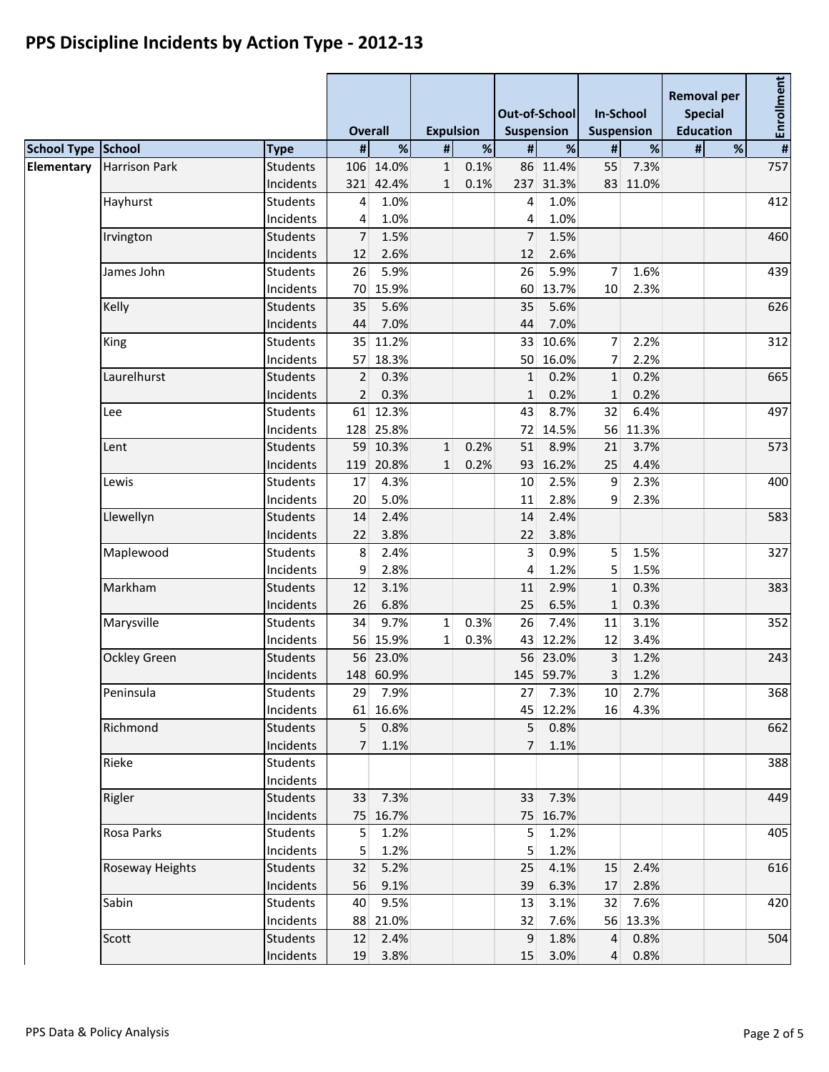|                           |                      |                              |                 | <b>Overall</b>    |              | <b>Expulsion</b> |                | Out-of-School<br>Suspension |                      | <b>In-School</b><br><b>Suspension</b> | <b>Removal per</b><br><b>Special</b><br><b>Education</b> |      | #Enrollment |  |
|---------------------------|----------------------|------------------------------|-----------------|-------------------|--------------|------------------|----------------|-----------------------------|----------------------|---------------------------------------|----------------------------------------------------------|------|-------------|--|
| <b>School Type School</b> |                      | <b>Type</b>                  | #               | $\%$              | #            | $\%$             | $\pmb{\sharp}$ | $\%$                        | #                    | $\%$                                  | #                                                        | $\%$ |             |  |
| Elementary                | <b>Harrison Park</b> | <b>Students</b>              |                 | 106 14.0%         | $\mathbf{1}$ | 0.1%             |                | 86 11.4%                    | 55                   | 7.3%                                  |                                                          |      | 757         |  |
|                           |                      | Incidents                    |                 | 321 42.4%         | $\mathbf{1}$ | 0.1%             | 237            | 31.3%                       |                      | 83 11.0%                              |                                                          |      |             |  |
|                           | Hayhurst             | <b>Students</b>              | $\vert 4 \vert$ | 1.0%              |              |                  | 4              | 1.0%                        |                      |                                       |                                                          |      | 412         |  |
|                           |                      | Incidents                    | $\overline{4}$  | 1.0%              |              |                  | 4              | 1.0%                        |                      |                                       |                                                          |      |             |  |
|                           | Irvington            | <b>Students</b>              | $\overline{7}$  | 1.5%              |              |                  | 7              | 1.5%                        |                      |                                       |                                                          |      | 460         |  |
|                           |                      | Incidents<br><b>Students</b> | 12<br>26        | 2.6%<br>5.9%      |              |                  | 12             | 2.6%<br>5.9%                |                      |                                       |                                                          |      | 439         |  |
|                           | James John           | Incidents                    | 70              | 15.9%             |              |                  | 26<br>60       | 13.7%                       | $\overline{7}$<br>10 | 1.6%<br>2.3%                          |                                                          |      |             |  |
|                           | Kelly                | <b>Students</b>              | 35              | 5.6%              |              |                  | 35             | 5.6%                        |                      |                                       |                                                          |      | 626         |  |
|                           |                      | Incidents                    | 44              | 7.0%              |              |                  | 44             | 7.0%                        |                      |                                       |                                                          |      |             |  |
|                           | King                 | <b>Students</b>              |                 | 35 11.2%          |              |                  | 33             | 10.6%                       | 7                    | 2.2%                                  |                                                          |      | 312         |  |
|                           |                      | Incidents                    |                 | 57 18.3%          |              |                  | 50             | 16.0%                       | 7                    | 2.2%                                  |                                                          |      |             |  |
|                           | Laurelhurst          | <b>Students</b>              | 2               | 0.3%              |              |                  | $\mathbf{1}$   | 0.2%                        | $\mathbf{1}$         | 0.2%                                  |                                                          |      | 665         |  |
|                           |                      | Incidents                    | $\overline{2}$  | 0.3%              |              |                  | $\mathbf{1}$   | 0.2%                        | $\mathbf{1}$         | 0.2%                                  |                                                          |      |             |  |
|                           | Lee                  | <b>Students</b>              |                 | 61 12.3%          |              |                  | 43             | 8.7%                        | 32                   | 6.4%                                  |                                                          |      | 497         |  |
|                           |                      | Incidents                    |                 | 128 25.8%         |              |                  | 72             | 14.5%                       | 56                   | 11.3%                                 |                                                          |      |             |  |
|                           | Lent                 | <b>Students</b>              |                 | 59 10.3%          | $\mathbf{1}$ | 0.2%             | 51             | 8.9%                        | 21                   | 3.7%                                  |                                                          |      | 573         |  |
|                           |                      | Incidents                    | 119             | 20.8%             | $\mathbf{1}$ | 0.2%             | 93             | 16.2%                       | 25                   | 4.4%                                  |                                                          |      |             |  |
|                           | Lewis                | <b>Students</b>              | 17              | 4.3%              |              |                  | 10             | 2.5%                        | 9                    | 2.3%                                  |                                                          |      | 400         |  |
|                           |                      | Incidents                    | 20              | 5.0%              |              |                  | 11             | 2.8%                        | 9                    | 2.3%                                  |                                                          |      |             |  |
|                           | Llewellyn            | <b>Students</b>              | 14              | 2.4%              |              |                  | 14             | 2.4%                        |                      |                                       |                                                          |      | 583         |  |
|                           |                      | Incidents                    | 22              | 3.8%              |              |                  | 22             | 3.8%                        |                      |                                       |                                                          |      |             |  |
|                           | Maplewood            | <b>Students</b>              | 8 <sup>°</sup>  | 2.4%              |              |                  | 3              | 0.9%                        | 5                    | 1.5%                                  |                                                          |      | 327         |  |
|                           |                      | Incidents                    | 9               | 2.8%              |              |                  | 4              | 1.2%                        | 5                    | 1.5%                                  |                                                          |      |             |  |
|                           | Markham              | <b>Students</b>              | 12              | 3.1%              |              |                  | 11             | 2.9%                        | $\mathbf{1}$         | 0.3%                                  |                                                          |      | 383         |  |
|                           |                      | Incidents                    | 26              | 6.8%              |              |                  | 25             | 6.5%                        | $\mathbf{1}$         | 0.3%                                  |                                                          |      |             |  |
|                           | Marysville           | <b>Students</b>              | 34              | 9.7%              | $1\vert$     | 0.3%             | 26             | 7.4%                        | 11                   | 3.1%                                  |                                                          |      | 352         |  |
|                           |                      | Incidents                    |                 | 56 15.9%          | $\mathbf{1}$ | 0.3%             | 43             | 12.2%                       | 12                   | 3.4%                                  |                                                          |      | 243         |  |
|                           | <b>Ockley Green</b>  | <b>Students</b><br>Incidents |                 | 56 23.0%          |              |                  |                | 56 23.0%                    | 3<br>3               | 1.2%                                  |                                                          |      |             |  |
|                           | Peninsula            | Students                     | 29 <sup>2</sup> | 148 60.9%<br>7.9% |              |                  | 27             | 145 59.7%<br>7.3%           | 10 <sup>1</sup>      | 1.2%<br>2.7%                          |                                                          |      | 368         |  |
|                           |                      | Incidents                    |                 | 61 16.6%          |              |                  |                | 45 12.2%                    | 16                   | 4.3%                                  |                                                          |      |             |  |
|                           | Richmond             | <b>Students</b>              | 5 <sup>1</sup>  | 0.8%              |              |                  | $\overline{5}$ | 0.8%                        |                      |                                       |                                                          |      | 662         |  |
|                           |                      | Incidents                    | 7 <sup>1</sup>  | 1.1%              |              |                  | $\overline{7}$ | 1.1%                        |                      |                                       |                                                          |      |             |  |
|                           | Rieke                | <b>Students</b>              |                 |                   |              |                  |                |                             |                      |                                       |                                                          |      | 388         |  |
|                           |                      | Incidents                    |                 |                   |              |                  |                |                             |                      |                                       |                                                          |      |             |  |
|                           | Rigler               | Students                     |                 | 33 7.3%           |              |                  | 33             | 7.3%                        |                      |                                       |                                                          |      | 449         |  |
|                           |                      | Incidents                    |                 | 75 16.7%          |              |                  |                | 75 16.7%                    |                      |                                       |                                                          |      |             |  |
|                           | Rosa Parks           | <b>Students</b>              | 5 <sup>1</sup>  | 1.2%              |              |                  | 5              | 1.2%                        |                      |                                       |                                                          |      | 405         |  |
|                           |                      | Incidents                    | 5 <sup>1</sup>  | 1.2%              |              |                  | 5              | 1.2%                        |                      |                                       |                                                          |      |             |  |
|                           | Roseway Heights      | <b>Students</b>              | 32              | 5.2%              |              |                  | 25             | 4.1%                        | 15                   | 2.4%                                  |                                                          |      | 616         |  |
|                           |                      | Incidents                    | 56              | 9.1%              |              |                  | 39             | 6.3%                        | 17                   | 2.8%                                  |                                                          |      |             |  |
|                           | Sabin                | Students                     | 40              | 9.5%              |              |                  | 13             | 3.1%                        | 32 <sup>2</sup>      | 7.6%                                  |                                                          |      | 420         |  |
|                           |                      | Incidents                    |                 | 88 21.0%          |              |                  | 32             | 7.6%                        |                      | 56 13.3%                              |                                                          |      |             |  |
|                           | Scott                | <b>Students</b>              | 12              | 2.4%              |              |                  | 9              | 1.8%                        | $\overline{4}$       | 0.8%                                  |                                                          |      | 504         |  |
|                           |                      | Incidents                    | 19              | 3.8%              |              |                  | 15             | 3.0%                        | $\vert 4 \vert$      | 0.8%                                  |                                                          |      |             |  |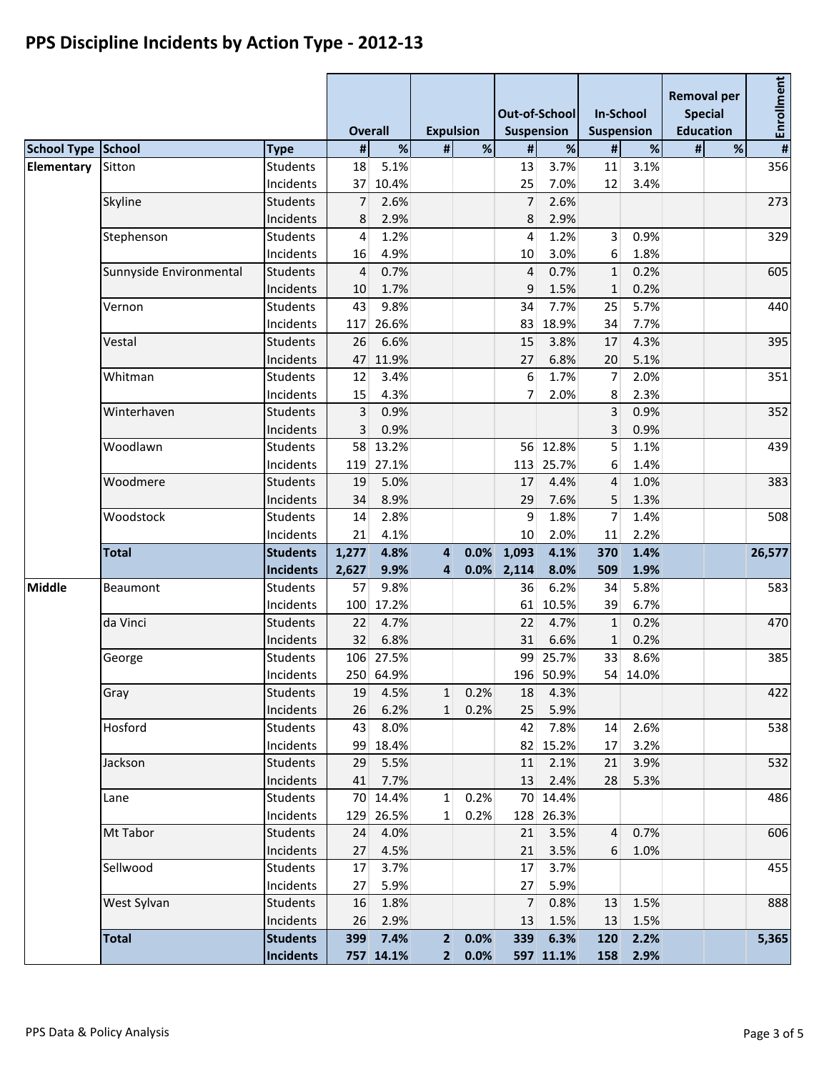|                    |                         |                  | <b>Overall</b> |           | <b>Expulsion</b> |             | Out-of-School<br>Suspension |           | <b>In-School</b><br><b>Suspension</b> |          | <b>Removal per</b><br><b>Special</b><br><b>Education</b> |   | Enrollment |  |
|--------------------|-------------------------|------------------|----------------|-----------|------------------|-------------|-----------------------------|-----------|---------------------------------------|----------|----------------------------------------------------------|---|------------|--|
| <b>School Type</b> | School                  | <b>Type</b>      | $\sharp$       | $\%$      | $\sharp$         | $\%$        | $\pmb{\sharp}$              | $\%$      | $\pmb{\sharp}$                        | $\%$     | #                                                        | % | #          |  |
| Elementary         | Sitton                  | <b>Students</b>  | 18             | 5.1%      |                  |             | 13                          | 3.7%      | 11                                    | 3.1%     |                                                          |   | 356        |  |
|                    |                         | Incidents        | 37             | 10.4%     |                  |             | 25                          | 7.0%      | 12                                    | 3.4%     |                                                          |   |            |  |
|                    | Skyline                 | <b>Students</b>  | 7              | 2.6%      |                  |             | $\overline{7}$              | 2.6%      |                                       |          |                                                          |   | 273        |  |
|                    |                         | Incidents        | 8              | 2.9%      |                  |             | 8                           | 2.9%      |                                       |          |                                                          |   |            |  |
|                    | Stephenson              | Students         | 4              | 1.2%      |                  |             | 4                           | 1.2%      | $\overline{3}$                        | 0.9%     |                                                          |   | 329        |  |
|                    |                         | Incidents        | 16             | 4.9%      |                  |             | 10                          | 3.0%      | 6                                     | 1.8%     |                                                          |   |            |  |
|                    | Sunnyside Environmental | <b>Students</b>  | $\overline{4}$ | 0.7%      |                  |             | $\overline{4}$              | 0.7%      | $\mathbf{1}$                          | 0.2%     |                                                          |   | 605        |  |
|                    |                         | Incidents        | 10             | 1.7%      |                  |             | 9                           | 1.5%      | $\mathbf{1}$                          | 0.2%     |                                                          |   |            |  |
|                    | Vernon                  | <b>Students</b>  | 43             | 9.8%      |                  |             | 34                          | 7.7%      | 25                                    | 5.7%     |                                                          |   | 440        |  |
|                    |                         | Incidents        | 117            | 26.6%     |                  |             | 83                          | 18.9%     | 34                                    | 7.7%     |                                                          |   |            |  |
|                    | Vestal                  | <b>Students</b>  | 26             | 6.6%      |                  |             | 15                          | 3.8%      | 17                                    | 4.3%     |                                                          |   | 395        |  |
|                    |                         | Incidents        | 47             | 11.9%     |                  |             | 27                          | 6.8%      | 20                                    | 5.1%     |                                                          |   |            |  |
|                    | Whitman                 | <b>Students</b>  | 12             | 3.4%      |                  |             | 6                           | 1.7%      | 7                                     | 2.0%     |                                                          |   | 351        |  |
|                    |                         | Incidents        | 15             | 4.3%      |                  |             | 7                           | 2.0%      | 8                                     | 2.3%     |                                                          |   |            |  |
|                    | Winterhaven             | <b>Students</b>  | 3              | 0.9%      |                  |             |                             |           | $\overline{3}$                        | 0.9%     |                                                          |   | 352        |  |
|                    |                         | Incidents        | 3              | 0.9%      |                  |             |                             |           | 3                                     | 0.9%     |                                                          |   |            |  |
|                    | Woodlawn                | <b>Students</b>  |                | 58 13.2%  |                  |             |                             | 56 12.8%  | 5                                     | 1.1%     |                                                          |   | 439        |  |
|                    |                         | Incidents        | 119            | 27.1%     |                  |             | 113                         | 25.7%     | 6                                     | 1.4%     |                                                          |   |            |  |
|                    | Woodmere                | <b>Students</b>  | 19             | 5.0%      |                  |             | 17                          | 4.4%      | 4                                     | 1.0%     |                                                          |   | 383        |  |
|                    |                         | Incidents        | 34             | 8.9%      |                  |             | 29                          | 7.6%      | 5                                     | 1.3%     |                                                          |   |            |  |
|                    | Woodstock               | <b>Students</b>  | 14             | 2.8%      |                  |             | 9                           | 1.8%      | $\overline{7}$                        | 1.4%     |                                                          |   | 508        |  |
|                    |                         | Incidents        | 21             | 4.1%      |                  |             | 10                          | 2.0%      | 11                                    | 2.2%     |                                                          |   |            |  |
|                    | <b>Total</b>            | <b>Students</b>  | 1,277          | 4.8%      | $\overline{4}$   | 0.0%        | 1,093                       | 4.1%      | 370                                   | 1.4%     |                                                          |   | 26,577     |  |
|                    |                         | <b>Incidents</b> | 2,627          | 9.9%      | 4                | 0.0%        | 2,114                       | 8.0%      | 509                                   | 1.9%     |                                                          |   |            |  |
| <b>Middle</b>      | Beaumont                | <b>Students</b>  | 57             | 9.8%      |                  |             | 36                          | 6.2%      | 34                                    | 5.8%     |                                                          |   | 583        |  |
|                    |                         | Incidents        | 100            | 17.2%     |                  |             | 61                          | 10.5%     | 39                                    | 6.7%     |                                                          |   |            |  |
|                    | da Vinci                | <b>Students</b>  | 22             | 4.7%      |                  |             | 22                          | 4.7%      | $\mathbf{1}$                          | 0.2%     |                                                          |   | 470        |  |
|                    |                         | Incidents        | 32             | 6.8%      |                  |             | 31                          | 6.6%      | $\mathbf{1}$                          | 0.2%     |                                                          |   |            |  |
|                    | George                  | <b>Students</b>  |                | 106 27.5% |                  |             | 99                          | 25.7%     | 33                                    | 8.6%     |                                                          |   | 385        |  |
|                    |                         | Incidents        |                | 250 64.9% |                  |             |                             | 196 50.9% |                                       | 54 14.0% |                                                          |   |            |  |
|                    | Gray                    | <b>Students</b>  | 19             | 4.5%      | $\mathbf{1}$     | 0.2%        | 18                          | 4.3%      |                                       |          |                                                          |   | 422        |  |
|                    |                         | Incidents        | 26             | 6.2%      | $1\overline{ }$  | 0.2%        | 25                          | 5.9%      |                                       |          |                                                          |   |            |  |
|                    | Hosford                 | <b>Students</b>  | 43             | 8.0%      |                  |             | 42                          | 7.8%      | 14                                    | 2.6%     |                                                          |   | 538        |  |
|                    |                         | Incidents        | 99             | 18.4%     |                  |             |                             | 82 15.2%  | 17                                    | 3.2%     |                                                          |   |            |  |
|                    | Jackson                 | <b>Students</b>  | 29             | 5.5%      |                  |             | 11                          | 2.1%      | 21                                    | 3.9%     |                                                          |   | 532        |  |
|                    |                         | Incidents        | 41             | 7.7%      |                  |             | 13                          | 2.4%      | 28                                    | 5.3%     |                                                          |   |            |  |
|                    | Lane                    | Students         |                | 70 14.4%  | $\mathbf{1}$     | 0.2%        |                             | 70 14.4%  |                                       |          |                                                          |   | 486        |  |
|                    |                         | Incidents        | 129            | 26.5%     | $1\vert$         | 0.2%        |                             | 128 26.3% |                                       |          |                                                          |   |            |  |
|                    | Mt Tabor                | <b>Students</b>  | 24             | 4.0%      |                  |             | 21                          | 3.5%      | $\overline{4}$                        | 0.7%     |                                                          |   | 606        |  |
|                    |                         | Incidents        | 27             | 4.5%      |                  |             | 21                          | 3.5%      | 6                                     | 1.0%     |                                                          |   |            |  |
|                    | Sellwood                | <b>Students</b>  | 17             | 3.7%      |                  |             | 17                          | 3.7%      |                                       |          |                                                          |   | 455        |  |
|                    |                         | Incidents        | 27             | 5.9%      |                  |             | 27                          | 5.9%      |                                       |          |                                                          |   |            |  |
|                    | West Sylvan             | <b>Students</b>  | 16             | 1.8%      |                  |             | $\overline{7}$              | 0.8%      | 13                                    | 1.5%     |                                                          |   | 888        |  |
|                    |                         | Incidents        | 26             | 2.9%      |                  |             | 13                          | 1.5%      | 13                                    | 1.5%     |                                                          |   |            |  |
|                    | <b>Total</b>            | <b>Students</b>  | 399            | 7.4%      |                  | 2 0.0%      | 339                         | 6.3%      | 120                                   | 2.2%     |                                                          |   | 5,365      |  |
|                    |                         | <b>Incidents</b> |                | 757 14.1% |                  | $2 \ 0.0\%$ |                             | 597 11.1% | 158                                   | 2.9%     |                                                          |   |            |  |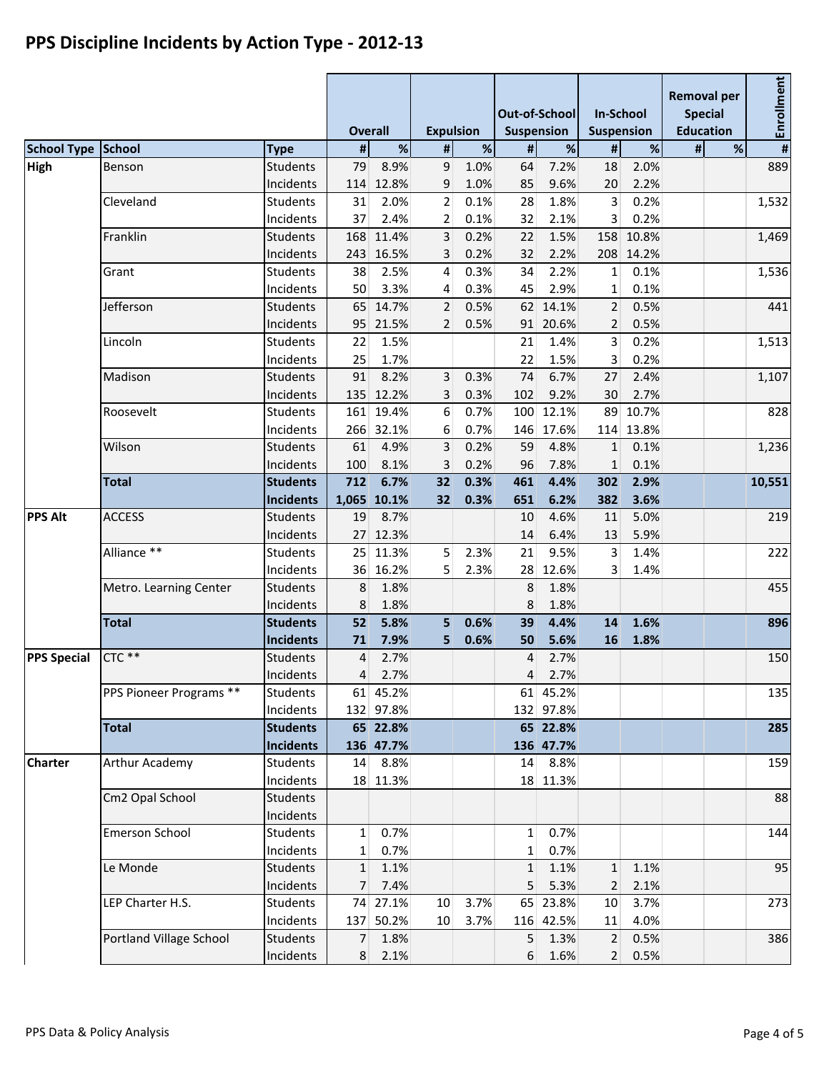|                    |                         |                              | <b>Overall</b>  |                      | <b>Expulsion</b> |              | Out-of-School<br><b>Suspension</b> |                      | <b>In-School</b><br><b>Suspension</b> |               | <b>Removal per</b><br><b>Special</b><br><b>Education</b> |   | #Enrollment |  |
|--------------------|-------------------------|------------------------------|-----------------|----------------------|------------------|--------------|------------------------------------|----------------------|---------------------------------------|---------------|----------------------------------------------------------|---|-------------|--|
| <b>School Type</b> | School                  | <b>Type</b>                  | #               | %                    | #                | $\%$         | #                                  | $\%$                 | $\pmb{\sharp}$                        | $\%$          | #                                                        | % |             |  |
| High               | Benson                  | <b>Students</b>              | 79              | 8.9%                 | 9                | 1.0%         | 64                                 | 7.2%                 | 18                                    | 2.0%          |                                                          |   | 889         |  |
|                    |                         | Incidents                    | 114             | 12.8%                | 9                | 1.0%         | 85                                 | 9.6%                 | 20                                    | 2.2%          |                                                          |   |             |  |
|                    | Cleveland               | <b>Students</b>              | 31              | 2.0%                 | $\overline{2}$   | 0.1%         | 28                                 | 1.8%                 | $\overline{3}$                        | 0.2%          |                                                          |   | 1,532       |  |
|                    | Franklin                | Incidents                    | 37              | 2.4%                 | $\overline{2}$   | 0.1%         | 32                                 | 2.1%                 | $\overline{3}$                        | 0.2%<br>10.8% |                                                          |   |             |  |
|                    |                         | <b>Students</b><br>Incidents | 168<br>243      | 11.4%<br>16.5%       | 3                | 0.2%<br>0.2% | 22<br>32                           | 1.5%<br>2.2%         | 158                                   | 208 14.2%     |                                                          |   | 1,469       |  |
|                    | Grant                   | <b>Students</b>              | 38              | 2.5%                 | 3<br>4           | 0.3%         | 34                                 | 2.2%                 | $1\vert$                              | 0.1%          |                                                          |   | 1,536       |  |
|                    |                         | Incidents                    | 50              | 3.3%                 | 4                | 0.3%         | 45                                 | 2.9%                 | 1                                     | 0.1%          |                                                          |   |             |  |
|                    | Jefferson               | <b>Students</b>              | 65              | 14.7%                | $\overline{2}$   | 0.5%         | 62                                 | 14.1%                | 2                                     | 0.5%          |                                                          |   | 441         |  |
|                    |                         | Incidents                    |                 | 95 21.5%             | 2                | 0.5%         |                                    | 91 20.6%             | $\overline{2}$                        | 0.5%          |                                                          |   |             |  |
|                    | Lincoln                 | Students                     | 22              | 1.5%                 |                  |              | 21                                 | 1.4%                 | $\overline{3}$                        | 0.2%          |                                                          |   | 1,513       |  |
|                    |                         | Incidents                    | 25              | 1.7%                 |                  |              | 22                                 | 1.5%                 | $\overline{3}$                        | 0.2%          |                                                          |   |             |  |
|                    | Madison                 | <b>Students</b>              | 91              | 8.2%                 | 3                | 0.3%         | 74                                 | 6.7%                 | 27                                    | 2.4%          |                                                          |   | 1,107       |  |
|                    |                         | Incidents                    | 135             | 12.2%                | 3                | 0.3%         | 102                                | 9.2%                 | 30                                    | 2.7%          |                                                          |   |             |  |
|                    | Roosevelt               | <b>Students</b>              |                 | 161 19.4%            | 6                | 0.7%         | 100                                | 12.1%                | 89                                    | 10.7%         |                                                          |   | 828         |  |
|                    |                         | Incidents                    |                 | 266 32.1%            | 6                | 0.7%         |                                    | 146 17.6%            |                                       | 114 13.8%     |                                                          |   |             |  |
|                    | Wilson                  | <b>Students</b>              | 61              | 4.9%                 | $\overline{3}$   | 0.2%         | 59                                 | 4.8%                 | $\mathbf{1}$                          | 0.1%          |                                                          |   | 1,236       |  |
|                    |                         | Incidents                    | 100             | 8.1%                 | 3                | 0.2%         | 96                                 | 7.8%                 | $\mathbf{1}$                          | 0.1%          |                                                          |   |             |  |
|                    | <b>Total</b>            | <b>Students</b>              | 712             | 6.7%                 | 32               | 0.3%         | 461                                | 4.4%                 | 302                                   | 2.9%          |                                                          |   | 10,551      |  |
|                    |                         | <b>Incidents</b>             |                 | 1,065 10.1%          | 32               | 0.3%         | 651                                | 6.2%                 | 382                                   | 3.6%          |                                                          |   |             |  |
| <b>PPS Alt</b>     | <b>ACCESS</b>           | <b>Students</b>              | 19              | 8.7%                 |                  |              | 10                                 | 4.6%                 | 11                                    | 5.0%          |                                                          |   | 219         |  |
|                    |                         | Incidents                    |                 | 27 12.3%             |                  |              | 14                                 | 6.4%                 | 13                                    | 5.9%          |                                                          |   |             |  |
|                    | Alliance **             | Students                     | 25              | 11.3%                | 5                | 2.3%         | 21                                 | 9.5%                 | $\lceil$                              | 1.4%          |                                                          |   | 222         |  |
|                    |                         | Incidents                    |                 | 36 16.2%             | 5                | 2.3%         |                                    | 28 12.6%             | $\mathbf{3}$                          | 1.4%          |                                                          |   |             |  |
|                    | Metro. Learning Center  | <b>Students</b>              | 8               | 1.8%                 |                  |              | 8                                  | 1.8%                 |                                       |               |                                                          |   | 455         |  |
|                    |                         | Incidents                    | 8               | 1.8%                 |                  |              | 8                                  | 1.8%                 |                                       |               |                                                          |   |             |  |
|                    | <b>Total</b>            | <b>Students</b>              | 52              | 5.8%                 | 5                | 0.6%         | 39                                 | 4.4%                 | 14                                    | 1.6%          |                                                          |   | 896         |  |
|                    |                         | <b>Incidents</b>             | 71              | 7.9%                 | 5                | 0.6%         | 50                                 | 5.6%                 | 16                                    | 1.8%          |                                                          |   |             |  |
| <b>PPS Special</b> | $CTC$ **                | <b>Students</b>              | 4               | 2.7%                 |                  |              | 4                                  | 2.7%                 |                                       |               |                                                          |   | 150         |  |
|                    |                         | Incidents                    | $\vert 4 \vert$ | 2.7%                 |                  |              | 4                                  | 2.7%                 |                                       |               |                                                          |   |             |  |
|                    | PPS Pioneer Programs ** | <b>Students</b>              |                 | 61 45.2%             |                  |              |                                    | 61 45.2%             |                                       |               |                                                          |   | 135         |  |
|                    |                         | Incidents                    |                 | 132 97.8%            |                  |              |                                    | 132 97.8%            |                                       |               |                                                          |   |             |  |
|                    | <b>Total</b>            | <b>Students</b>              |                 | 65 22.8%             |                  |              |                                    | 65 22.8%             |                                       |               |                                                          |   | 285         |  |
| <b>Charter</b>     | Arthur Academy          | <b>Incidents</b><br>Students |                 | 136 47.7%<br>14 8.8% |                  |              |                                    | 136 47.7%<br>14 8.8% |                                       |               |                                                          |   | 159         |  |
|                    |                         | Incidents                    |                 | 18 11.3%             |                  |              |                                    | 18 11.3%             |                                       |               |                                                          |   |             |  |
|                    | Cm2 Opal School         | <b>Students</b>              |                 |                      |                  |              |                                    |                      |                                       |               |                                                          |   | 88          |  |
|                    |                         | Incidents                    |                 |                      |                  |              |                                    |                      |                                       |               |                                                          |   |             |  |
|                    | <b>Emerson School</b>   | <b>Students</b>              | $1\vert$        | 0.7%                 |                  |              | $\mathbf{1}$                       | 0.7%                 |                                       |               |                                                          |   | 144         |  |
|                    |                         | Incidents                    | $1\vert$        | 0.7%                 |                  |              | 1                                  | 0.7%                 |                                       |               |                                                          |   |             |  |
|                    | Le Monde                | <b>Students</b>              | 1               | 1.1%                 |                  |              | $\mathbf{1}$                       | 1.1%                 | 1                                     | 1.1%          |                                                          |   | 95          |  |
|                    |                         | Incidents                    | 7 <sup>1</sup>  | 7.4%                 |                  |              | 5                                  | 5.3%                 | $\overline{2}$                        | 2.1%          |                                                          |   |             |  |
|                    | LEP Charter H.S.        | <b>Students</b>              |                 | 74 27.1%             | 10               | 3.7%         |                                    | 65 23.8%             | 10 <sup>1</sup>                       | 3.7%          |                                                          |   | 273         |  |
|                    |                         | Incidents                    |                 | 137 50.2%            | 10 <sup>1</sup>  | 3.7%         |                                    | 116 42.5%            | 11                                    | 4.0%          |                                                          |   |             |  |
|                    | Portland Village School | <b>Students</b>              | 7 <sup>1</sup>  | 1.8%                 |                  |              |                                    | $5 \quad 1.3\%$      | 2 <sup>1</sup>                        | 0.5%          |                                                          |   | 386         |  |
|                    |                         | Incidents                    | 8 <sup>1</sup>  | 2.1%                 |                  |              | 6 <sup>1</sup>                     | 1.6%                 | 2                                     | 0.5%          |                                                          |   |             |  |